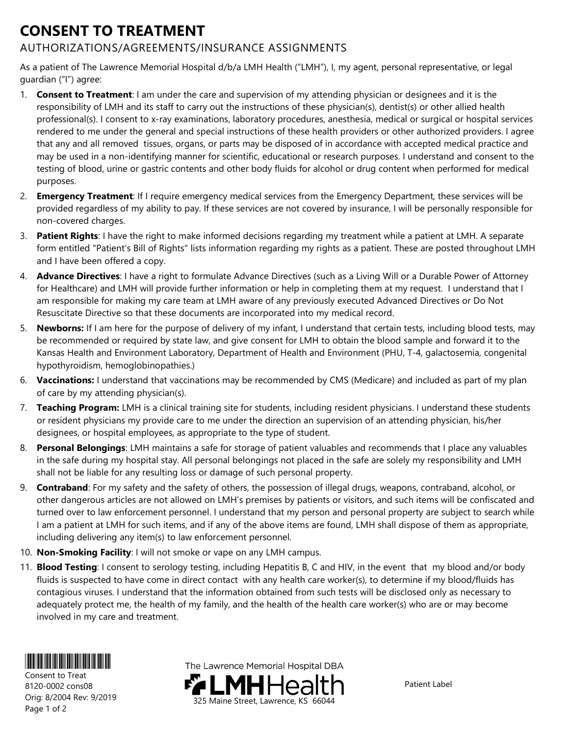## CONSENT TO TREATMENT

## AUTHORIZATIONS/AGREEMENTS/INSURANCE ASSIGNMENTS

As a patient of The Lawrence Memorial Hospital d/b/a LMH Health ("LMH"), I, my agent, personal representative, or legal guardian ("I") agree:

- 1. Consent to Treatment: I am under the care and supervision of my attending physician or designees and it is the responsibility of LMH and its staff to carry out the instructions of these physician(s), dentist(s) or other allied health professional(s). I consent to x-ray examinations, laboratory procedures, anesthesia, medical or surgical or hospital services rendered to me under the general and special instructions of these health providers or other authorized providers. I agree that any and all removed tissues, organs, or parts may be disposed of in accordance with accepted medical practice and may be used in a non-identifying manner for scientific, educational or research purposes. I understand and consent to the testing of blood, urine or gastric contents and other body fluids for alcohol or drug content when performed for medical purposes.
- 2. Emergency Treatment: If I require emergency medical services from the Emergency Department, these services will be provided regardless of my ability to pay. If these services are not covered by insurance, I will be personally responsible for non-covered charges.
- 3. Patient Rights: I have the right to make informed decisions regarding my treatment while a patient at LMH. A separate form entitled "Patient's Bill of Rights" lists information regarding my rights as a patient. These are posted throughout LMH and I have been offered a copy.
- 4. Advance Directives: I have a right to formulate Advance Directives (such as a Living Will or a Durable Power of Attorney for Healthcare) and LMH will provide further information or help in completing them at my request. I understand that I am responsible for making my care team at LMH aware of any previously executed Advanced Directives or Do Not Resuscitate Directive so that these documents are incorporated into my medical record.
- 5. Newborns: If I am here for the purpose of delivery of my infant, I understand that certain tests, including blood tests, may be recommended or required by state law, and give consent for LMH to obtain the blood sample and forward it to the Kansas Health and Environment Laboratory, Department of Health and Environment (PHU, T-4, galactosemia, congenital hypothyroidism, hemoglobinopathies.)
- 6. Vaccinations: I understand that vaccinations may be recommended by CMS (Medicare) and included as part of my plan of care by my attending physician(s).
- 7. Teaching Program: LMH is a clinical training site for students, including resident physicians. I understand these students or resident physicians my provide care to me under the direction an supervision of an attending physician, his/her designees, or hospital employees, as appropriate to the type of student.
- 8. Personal Belongings: LMH maintains a safe for storage of patient valuables and recommends that I place any valuables in the safe during my hospital stay. All personal belongings not placed in the safe are solely my responsibility and LMH shall not be liable for any resulting loss or damage of such personal property.
- 9. Contraband: For my safety and the safety of others, the possession of illegal drugs, weapons, contraband, alcohol, or other dangerous articles are not allowed on LMH's premises by patients or visitors, and such items will be confiscated and turned over to law enforcement personnel. I understand that my person and personal property are subject to search while I am a patient at LMH for such items, and if any of the above items are found, LMH shall dispose of them as appropriate, including delivering any item(s) to law enforcement personnel.
- 10. Non-Smoking Facility: I will not smoke or vape on any LMH campus.
- 11. Blood Testing: I consent to serology testing, including Hepatitis B, C and HIV, in the event that my blood and/or body fluids is suspected to have come in direct contact with any health care worker(s), to determine if my blood/fluids has contagious viruses. I understand that the information obtained from such tests will be disclosed only as necessary to adequately protect me, the health of my family, and the health of the health care worker(s) who are or may become involved in my care and treatment.



Consent to Treat 8120-0002 cons08 Orig: 8/2004 Rev: 9/2019 Page 1 of 2

The Lawrence Memorial Hospital DBA 325 Maine Street, Lawrence, KS 66044

Patient Label